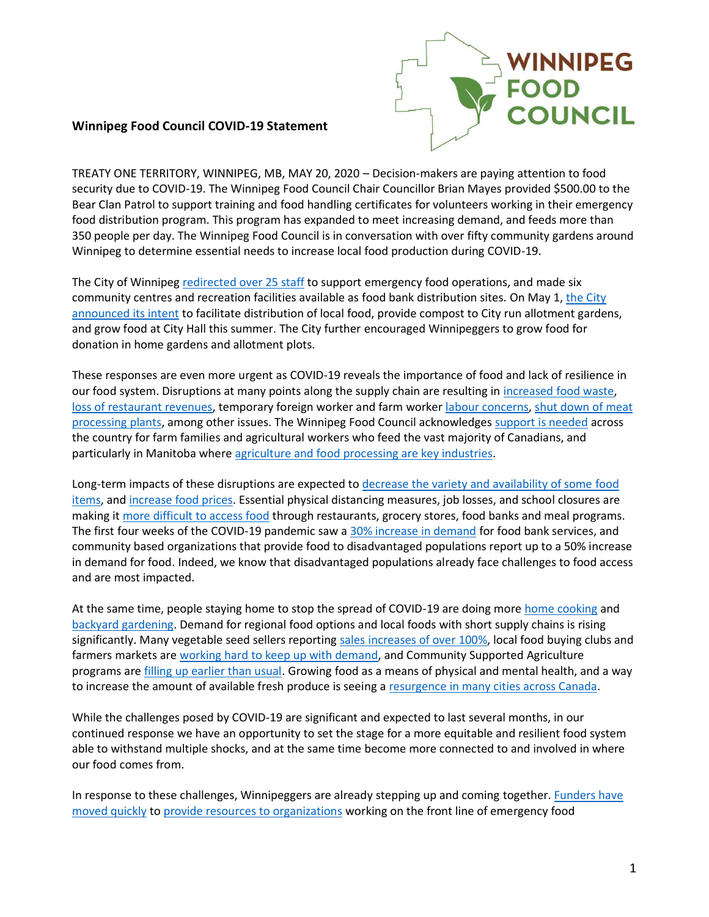

## **Winnipeg Food Council COVID-19 Statement**

TREATY ONE TERRITORY, WINNIPEG, MB, MAY 20, 2020 – Decision-makers are paying attention to food security due to COVID-19. The Winnipeg Food Council Chair Councillor Brian Mayes provided \$500.00 to the Bear Clan Patrol to support training and food handling certificates for volunteers working in their emergency food distribution program. This program has expanded to meet increasing demand, and feeds more than 350 people per day. The Winnipeg Food Council is in conversation with over fifty community gardens around Winnipeg to determine essential needs to increase local food production during COVID-19.

The City of Winnipeg redirected [over 25 staff](https://winnipeg.ctvnews.ca/city-to-help-winnipeg-harvest-during-virus-1.4872733) to support emergency food operations, and made six community centres and recreation facilities available as food bank distribution sites. On May 1, [the City](https://www.cbc.ca/news/canada/manitoba/winnipeg-covid-19-winnipeg-harvest-1.5552178?__vfz=medium%3Dsharebar)  [announced its intent](https://www.cbc.ca/news/canada/manitoba/winnipeg-covid-19-winnipeg-harvest-1.5552178?__vfz=medium%3Dsharebar) to facilitate distribution of local food, provide compost to City run allotment gardens, and grow food at City Hall this summer. The City further encouraged Winnipeggers to grow food for donation in home gardens and allotment plots.

These responses are even more urgent as COVID-19 reveals the importance of food and lack of resilience in our food system. Disruptions at many points along the supply chain are resulting in [increased food waste,](https://globalnews.ca/news/6790430/canadian-dairy-farmers-dumping-milk-coronavirus-covid-19/) [loss of restaurant revenues,](https://globalnews.ca/news/6770772/manitoba-loses-resaurant-jobs-coronavirus/) temporary foreign worker and farm worker [labour concerns,](https://www.theglobeandmail.com/business/article-canadas-food-supply-at-risk-as-pandemic-tightens-borders-to-farm/) shut down of meat [processing plants,](https://www.ctvnews.ca/health/coronavirus/these-are-the-meat-plants-in-canada-affected-by-the-coronavirus-outbreak-1.4916957) among other issues. The Winnipeg Food Council acknowledge[s support is needed](https://globalnews.ca/news/6875681/food-security-expert-coronavirus-agriculture/) across the country for farm families and agricultural workers who feed the vast majority of Canadians, and particularly in Manitoba where [agriculture and food processing are key industries.](https://www.gov.mb.ca/jec/mbadvantage/business.html)

Long-term impacts of these disruptions are expected to [decrease the variety and availability of some food](https://www.ctvnews.ca/health/coronavirus/covid-19-to-have-immediate-and-drastic-impact-on-canadian-meat-supply-industry-group-1.4894557)  [items,](https://www.ctvnews.ca/health/coronavirus/covid-19-to-have-immediate-and-drastic-impact-on-canadian-meat-supply-industry-group-1.4894557) an[d increase food prices.](https://ottawa.ctvnews.ca/impacts-of-covid-19-will-drive-up-costs-of-vegetables-baked-goods-researchers-1.4875823) Essential physical distancing measures, job losses, and school closures are making it [more difficult to access food](https://www.cbc.ca/news/canada/manitoba/covid-19-winnipeg-harvest-food-banks-1.5500121) through restaurants, grocery stores, food banks and meal programs. The first four weeks of the COVID-19 pandemic saw a [30% increase in demand](https://winnipeg.ctvnews.ca/demand-for-food-is-up-donations-are-down-winnipeg-harvest-1.4885379) for food bank services, and community based organizations that provide food to disadvantaged populations report up to a 50% increase in demand for food. Indeed, we know that disadvantaged populations already face challenges to food access and are most impacted.

At the same time, people staying home to stop the spread of COVID-19 are doing more [home cooking](https://www.winnipegfreepress.com/arts-and-life/life/kitchen-therapy-569343022.html) and [backyard gardening.](https://www.winnipegfreepress.com/special/coronavirus/gardening-fever-hits-winnipeg-570163802.html) Demand for regional food options and local foods with short supply chains is rising significantly. Many vegetable seed sellers reporting [sales increases of over 100%,](https://www.manitobacooperator.ca/news-opinion/news/is-food-security-anxiety-seeing-a-victory-garden-revival/) local food buying clubs and farmers markets are [working hard to keep up with demand,](https://www.winnipegfreepress.com/our-communities/souwester/St-Norbert-Farmers-Market-adapts-to-the-times-569758011.html) and Community Supported Agriculture programs are [filling up earlier than usual.](https://www.cbc.ca/news/canada/manitoba/small-scale-farmers-adapt-covid-19-1.5540185) Growing food as a means of physical and mental health, and a way to increase the amount of available fresh produce is seeing a [resurgence in many cities across Canada.](https://www.cbc.ca/news/canada/edmonton/edmonton-community-gardens-coronavirus-1.5542496)

While the challenges posed by COVID-19 are significant and expected to last several months, in our continued response we have an opportunity to set the stage for a more equitable and resilient food system able to withstand multiple shocks, and at the same time become more connected to and involved in where our food comes from.

In response to these challenges, Winnipeggers are already stepping up and coming together. Funders have [moved quickly](https://www.wpgfdn.org/covid-19-our-response-and-how-you-can-help/) to [provide resources to organizations](http://www.unitedway.ca/campaign/covid-19-community-response-and-recovery-fund/) working on the front line of emergency food